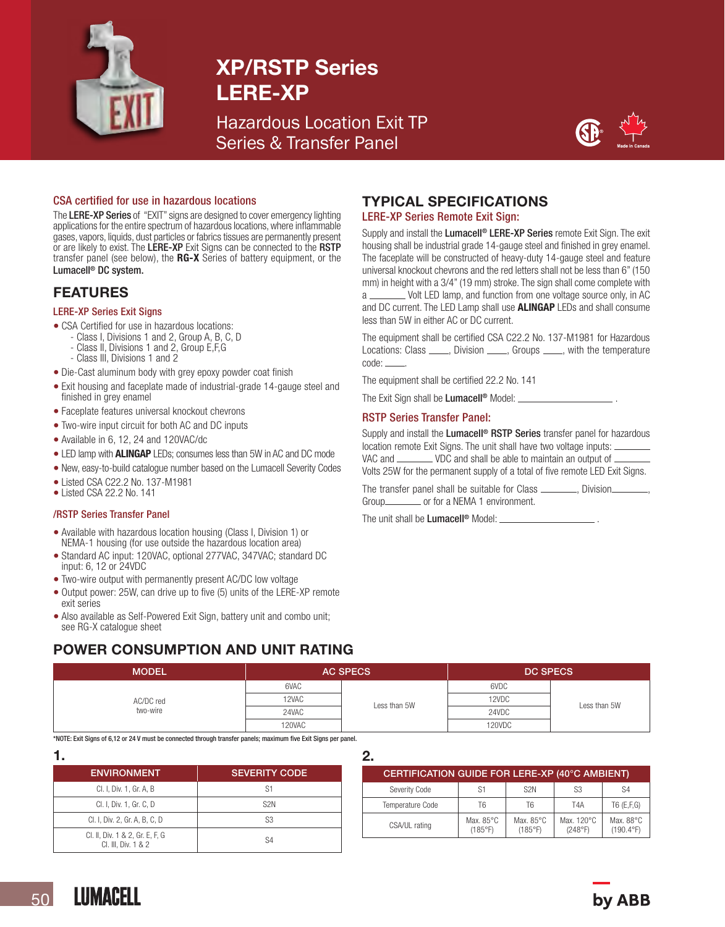

## XP/RSTP Series LERE-XP

Hazardous Location Exit TP Series & Transfer Panel



### CSA certified for use in hazardous locations

The LERE-XP Series of "EXIT" signs are designed to cover emergency lighting applications for the entire spectrum of hazardous locations, where inflammable gases, vapors, liquids, dust particles or fabrics tissues are permanently present or are likely to exist. The LERE-XP Exit Signs can be connected to the RSTP transfer panel (see below), the RG-X Series of battery equipment, or the Lumacell® DC system.

## FEATURES

#### LERE-XP Series Exit Signs

- CSA Certified for use in hazardous locations:
- Class I, Divisions 1 and 2, Group A, B, C, D
	- Class II, Divisions 1 and 2, Group E,F,G
	- Class III, Divisions 1 and 2
- Die-Cast aluminum body with grey epoxy powder coat finish
- Exit housing and faceplate made of industrial-grade 14-gauge steel and finished in grey enamel
- Faceplate features universal knockout chevrons
- Two-wire input circuit for both AC and DC inputs
- Available in 6, 12, 24 and 120VAC/dc
- LED lamp with **ALINGAP** LEDs; consumes less than 5W in AC and DC mode
- New, easy-to-build catalogue number based on the Lumacell Severity Codes
- Listed CSA C22.2 No. 137-M1981
- Listed CSA 22.2 No. 141

#### /RSTP Series Transfer Panel

- Available with hazardous location housing (Class I, Division 1) or NEMA-1 housing (for use outside the hazardous location area)
- Standard AC input: 120VAC, optional 277VAC, 347VAC; standard DC input: 6, 12 or 24VDC
- Two-wire output with permanently present AC/DC low voltage
- Output power: 25W, can drive up to five (5) units of the LERE-XP remote exit series
- Also available as Self-Powered Exit Sign, battery unit and combo unit; see RG-X catalogue sheet

## POWER CONSUMPTION AND UNIT RATING

#### <code>MODEL</code>  $\qquad \qquad \vert$   $\qquad \qquad$  AC SPECS  $\qquad \qquad \vert$   $\qquad \qquad$  DC SPECS AC/DC red two-wire 6VAC Less than 5W 6VDC Less than 5W 12VAC and the contract of the contract of the contract of the contract of the contract of the contract of the contract of the contract of the contract of the contract of the contract of the contract of the contract of the 24VAC Processes and the contract of the contract of the contract of the contract of the contract of the contract of the contract of the contract of the contract of the contract of the contract of the contract of the contra 120VAC 120VDC

\*NOTE: Exit Signs of 6,12 or 24 V must be connected through transfer panels; maximum five Exit Signs per panel.

1.

| . .                                                    |                      |
|--------------------------------------------------------|----------------------|
| <b>ENVIRONMENT</b>                                     | <b>SEVERITY CODE</b> |
| Cl. I, Div. 1, Gr. A, B                                | S1                   |
| CI. I, Div. 1, Gr. C, D                                | S <sub>2N</sub>      |
| Cl. I, Div. 2, Gr. A, B, C, D                          | S3                   |
| Cl. II, Div. 1 & 2, Gr. E, F, G<br>CI. III, Div. 1 & 2 | S4                   |

## TYPICAL SPECIFICATIONS

### LERE-XP Series Remote Exit Sign:

Supply and install the Lumacell<sup>®</sup> LERE-XP Series remote Exit Sign. The exit housing shall be industrial grade 14-gauge steel and finished in grey enamel. The faceplate will be constructed of heavy-duty 14-gauge steel and feature universal knockout chevrons and the red letters shall not be less than 6" (150 mm) in height with a 3/4" (19 mm) stroke. The sign shall come complete with a \_\_\_\_\_\_\_\_\_ Volt LED lamp, and function from one voltage source only, in AC and DC current. The LED Lamp shall use **ALINGAP** LEDs and shall consume less than 5W in either AC or DC current.

The equipment shall be certified CSA C22.2 No. 137-M1981 for Hazardous Locations: Class \_\_\_\_, Division \_\_\_\_, Groups \_\_\_\_, with the temperature code: .

The equipment shall be certified 22.2 No. 141

The Exit Sign shall be **Lumacell<sup>®</sup>** Model:  $\equiv$ 

#### RSTP Series Transfer Panel:

Supply and install the Lumacell<sup>®</sup> RSTP Series transfer panel for hazardous location remote Exit Signs. The unit shall have two voltage inputs: VAC and \_\_\_\_\_\_\_\_ VDC and shall be able to maintain an output of \_ Volts 25W for the permanent supply of a total of five remote LED Exit Signs.

The transfer panel shall be suitable for Class \_\_\_\_\_\_\_\_, Division. Group or for a NEMA 1 environment.

The unit shall be **Lumacell<sup>®</sup>** Model:  $=$ 

## 2.

| CERTIFICATION GUIDE FOR LERE-XP (40°C AMBIENT) |                                |                      |                       |                                 |  |  |  |
|------------------------------------------------|--------------------------------|----------------------|-----------------------|---------------------------------|--|--|--|
| Severity Code                                  | S1                             | S <sub>2N</sub>      | S <sub>3</sub>        | S <sub>4</sub>                  |  |  |  |
| Temperature Code                               | T6                             | Т6                   | T4A                   | $T6$ (E,F,G)                    |  |  |  |
| CSA/UL rating                                  | Max. $85^{\circ}$ C<br>(185°F) | Max. 85°C<br>(185°F) | Max. 120°C<br>(248°F) | Max. 88°C<br>$(190.4^{\circ}F)$ |  |  |  |